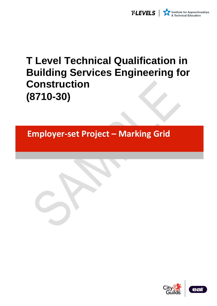

# **T Level Technical Qualification in Building Services Engineering for Construction (8710-30)**

**Employer-set Project – Marking Grid** 

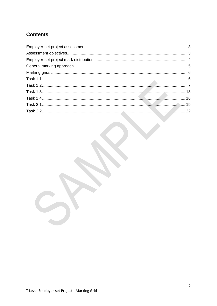# **Contents**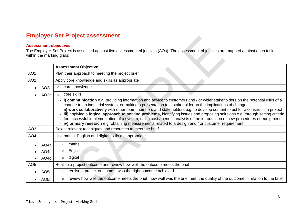# **Employer-Set Project assessment**

# **Assessment objectives**

The Employer-Set Project is assessed against five assessment objectives (AOs). The assessment objectives are mapped against each task within the marking grids:

<span id="page-2-1"></span><span id="page-2-0"></span>

|                 |                   | <b>Assessment Objective</b>                                                                                                                                                                                                                                                                                                                                                                                                                                                                                                                                                                                                                                                                                                                         |
|-----------------|-------------------|-----------------------------------------------------------------------------------------------------------------------------------------------------------------------------------------------------------------------------------------------------------------------------------------------------------------------------------------------------------------------------------------------------------------------------------------------------------------------------------------------------------------------------------------------------------------------------------------------------------------------------------------------------------------------------------------------------------------------------------------------------|
| AO <sub>1</sub> |                   | Plan their approach to meeting the project brief                                                                                                                                                                                                                                                                                                                                                                                                                                                                                                                                                                                                                                                                                                    |
| AO <sub>2</sub> |                   | Apply core knowledge and skills as appropriate                                                                                                                                                                                                                                                                                                                                                                                                                                                                                                                                                                                                                                                                                                      |
|                 | AO <sub>2</sub> a | core knowledge<br>$\circ$                                                                                                                                                                                                                                                                                                                                                                                                                                                                                                                                                                                                                                                                                                                           |
|                 | AO <sub>2</sub> b | core skills<br>$\circ$                                                                                                                                                                                                                                                                                                                                                                                                                                                                                                                                                                                                                                                                                                                              |
|                 |                   | - i) communication e.g. providing information and advice to customers and / or wider stakeholders on the potential risks of a<br>change to an industrial system, or making a presentation to a stakeholder on the implications of change<br>- ii) work collaboratively with other team members and stakeholders e.g. to develop content to bid for a construction project<br>- iii) applying a logical approach to solving problems, identifying issues and proposing solutions e.g. through setting criteria<br>for successful implementation of a system, using cost / benefit analysis of the introduction of new procedures or equipment<br>iv) primary research e.g. obtaining measurements related to a design and / or customer requirement. |
| AO <sub>3</sub> |                   | Select relevant techniques and resources to meet the brief                                                                                                                                                                                                                                                                                                                                                                                                                                                                                                                                                                                                                                                                                          |
| AO <sub>4</sub> |                   | Use maths, English and digital skills as appropriate                                                                                                                                                                                                                                                                                                                                                                                                                                                                                                                                                                                                                                                                                                |
|                 | AO4a              | maths<br>$\circ$                                                                                                                                                                                                                                                                                                                                                                                                                                                                                                                                                                                                                                                                                                                                    |
|                 | AO <sub>4</sub> b | English<br>$\circ$                                                                                                                                                                                                                                                                                                                                                                                                                                                                                                                                                                                                                                                                                                                                  |
|                 | AO <sub>4</sub> c | digital<br>$\circ$                                                                                                                                                                                                                                                                                                                                                                                                                                                                                                                                                                                                                                                                                                                                  |
| AO <sub>5</sub> |                   | Realise a project outcome and review how well the outcome meets the brief                                                                                                                                                                                                                                                                                                                                                                                                                                                                                                                                                                                                                                                                           |
|                 | AO <sub>5a</sub>  | realise a project outcome - was the right outcome achieved<br>$\circ$                                                                                                                                                                                                                                                                                                                                                                                                                                                                                                                                                                                                                                                                               |
|                 | AO <sub>5</sub> b | review how well the outcome meets the brief, how well was the brief met, the quality of the outcome in relation to the brief<br>$\circ$                                                                                                                                                                                                                                                                                                                                                                                                                                                                                                                                                                                                             |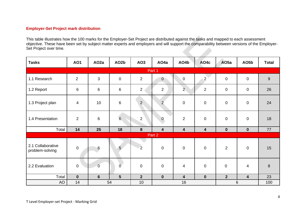# **Employer-Set Project mark distribution**

This table illustrates how the 100 marks for the Employer-Set Project are distributed against the tasks and mapped to each assessment objective. These have been set by subject matter experts and employers and will support the comparability between versions of the Employer-Set Project over time.

<span id="page-3-0"></span>

| <b>Tasks</b>                         | <b>AO1</b>     | AO <sub>2a</sub> | AO <sub>2</sub> b | AO <sub>3</sub> | AO <sub>4</sub> a       | AO4b             | AO4c           | AO <sub>5a</sub> | AO <sub>5</sub> b       | <b>Total</b>     |
|--------------------------------------|----------------|------------------|-------------------|-----------------|-------------------------|------------------|----------------|------------------|-------------------------|------------------|
|                                      |                |                  |                   |                 | Part 1                  |                  |                |                  |                         |                  |
| 1.1 Research                         | $\overline{2}$ | 3                | $\pmb{0}$         | $\overline{2}$  | $\overline{0}$          | $\boldsymbol{0}$ | $\overline{2}$ | $\mathbf 0$      | $\mathbf 0$             | $9\,$            |
| 1.2 Report                           | $\,6$          | $6\phantom{1}6$  | 6                 | $\overline{2}$  | $\overline{2}$          | $\overline{2}$   | $\overline{2}$ | $\mathbf 0$      | $\mathbf 0$             | 26               |
| 1.3 Project plan                     | 4              | 10               | $\,6\,$           | $\overline{2}$  | $\overline{2}$          | $\boldsymbol{0}$ | $\mathbf 0$    | $\mathbf 0$      | $\mathsf{O}\xspace$     | 24               |
| 1.4 Presentation                     | $\overline{2}$ | $6\phantom{1}6$  | $6\phantom{a}$    | $\overline{2}$  | $\mathbf{0}$            | $\overline{2}$   | $\mathbf 0$    | $\mathbf 0$      | $\mathbf 0$             | 18               |
| Total                                | 14             | 25               | 18                | 8               | $\overline{\mathbf{4}}$ | $\boldsymbol{4}$ | 4              | $\mathbf 0$      | $\mathbf 0$             | 77               |
|                                      |                |                  |                   |                 | Part 2                  |                  |                |                  |                         |                  |
| 2.1 Collaborative<br>problem-solving | $\mathbf 0$    | $6\,$            | $5\overline{)}$   | $\overline{2}$  | $\pmb{0}$               | $\pmb{0}$        | $\mathbf 0$    | $\overline{2}$   | $\mathbf 0$             | 15               |
| 2.2 Evaluation                       | $\mathbf 0$    | $\overline{0}$   | Ō                 | $\overline{0}$  | $\pmb{0}$               | $\overline{4}$   | $\mathbf 0$    | $\mathbf 0$      | $\overline{\mathbf{4}}$ | $\boldsymbol{8}$ |
| Total                                | $\mathbf 0$    | $6\phantom{1}6$  | $5\phantom{.}$    | 2 <sup>2</sup>  | $\mathbf 0$             | $\boldsymbol{4}$ | $\mathbf 0$    | $\overline{2}$   | $\overline{\mathbf{4}}$ | 23               |
| <b>AO</b>                            | 14             | 54               |                   | 10              |                         | 16               |                |                  | 6                       | 100              |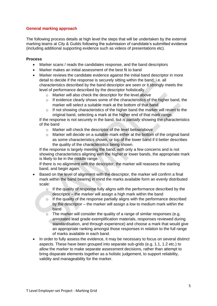# <span id="page-4-0"></span>**General marking approach**

The following process details at high level the steps that will be undertaken by the external marking teams at City & Guilds following the submission of candidate's submitted evidence (including additional supporting evidence such as videos of presentations etc).

#### **Process**

- Marker scans / reads the candidates response, and the band descriptors
- Marker makes an initial assessment of the best fit to band
- Marker reviews the candidate evidence against the initial band descriptor in more detail to decide if the response is securely sitting within the band; i.e. all characteristics described by the band descriptor are seen or it strongly meets the level of performance described by the descriptor holistically
	- o Marker will also check the descriptor for the level above
	- $\circ$  If evidence clearly shows some of the characteristics of the higher band, the marker will select a suitable mark at the bottom of that band
	- $\circ$  If not showing characteristics of the higher band the marker will revert to the original band, selecting a mark at the higher end of that mark range.

If the response is not securely in the band, but *is partially* showing the characteristics of the band

- o Marker will check the descriptor of the level below/above
- $\circ$  Marker will decide on a suitable mark either at the bottom of the original band as some characteristics shown, or top of the lower band if it better describes the quality of the characteristics being shown.

If the response is largely meeting the band, with only a few concerns and is not showing characteristics aligning with the higher or lower bands, the appropriate mark is likely to be in the middle range.

If there is no alignment with the descriptor, the marker will reassess the starting band, and begin again.

- Based on the level of alignment with the descriptor, the marker will confirm a final mark within the band bearing in mind the marks available form an evenly distributed scale:
	- $\circ$  If the quality of response fully aligns with the performance described by the descriptor – the marker will assign a high mark within the band
	- $\circ$  If the quality of the response partially aligns with the performance described by the descriptor – the marker will assign a low to medium mark within the band
	- $\circ$  The marker will consider the quality of a range of similar responses (e.g. annotated lead grade exemplification materials, responses reviewed during standardisation, and through experience) and choose a mark that would give an appropriate ranking amongst those responses in relation to the full range of marks available in each band.
- In order to fully assess the evidence, it may be necessary to focus on several distinct aspects. These have been grouped into separate sub-grids (e.g. 1.1, 1.2 etc.) to allow the marker to make separate assessment decisions, rather than attempt to bring disparate elements together as a holistic judgement, to support reliability, validity and manageability for the marker.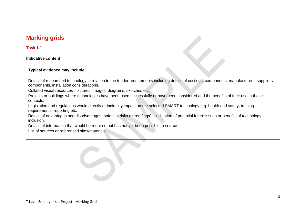# **Marking grids**

#### **Task 1.1**

#### **Indicative content**

#### **Typical evidence may include:**

Details of researched technology in relation to the tender requirements including details of costings, components, manufacturers, suppliers, components, installation considerations.

Collated visual resources - pictures, images, diagrams, sketches etc.

Projects or buildings where technologies have been used successfully or have been considered and the benefits of their use in those contexts.

Legislation and regulations would directly or indirectly impact on the selected SMART technology e.g. health and safety, training requirements, reporting etc.

<span id="page-5-0"></span>Details of advantages and disadvantages, potential risks or 'red flags' – indication of potential future issues or benefits of technology inclusion.

Details of information that would be required but has not yet been possible to source.

<span id="page-5-1"></span>List of sources or referenced sites/materials.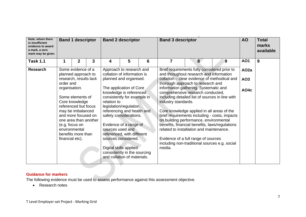| Note: where there<br>is insufficient<br>evidence to award<br>a mark, a zero<br>mark may be given |                 | <b>Band 1 descriptor</b>                                          |   |                  | <b>Band 2 descriptor</b>                                                              |   | <b>Band 3 descriptor</b> |                                                                                            | <b>AO</b>                                     | <b>Total</b><br>marks<br>available |   |
|--------------------------------------------------------------------------------------------------|-----------------|-------------------------------------------------------------------|---|------------------|---------------------------------------------------------------------------------------|---|--------------------------|--------------------------------------------------------------------------------------------|-----------------------------------------------|------------------------------------|---|
| <b>Task 1.1</b>                                                                                  |                 | $\mathbf 2$                                                       | 3 | 4                | 5                                                                                     | 6 | $\overline{7}$           | $\bf{8}$                                                                                   | 9                                             | <b>AO1</b>                         | 9 |
| <b>Research</b>                                                                                  |                 | Some evidence of a<br>planned approach to                         |   |                  | Approach to research and<br>collation of information is                               |   |                          | Brief requirements fully considered prior to<br>and throughout research and information    |                                               | AO <sub>2a</sub>                   |   |
|                                                                                                  | order and       | research, results lack                                            |   |                  | planned and organised.                                                                |   |                          | collation - clear evidence of methodical and<br>thorough approach to research and          |                                               | AO <sub>3</sub>                    |   |
|                                                                                                  | organisation.   |                                                                   |   |                  | The application of Core<br>knowledge is referenced                                    |   |                          | information gathering. Systematic and<br>comprehensive research conducted,                 |                                               | AO <sub>4</sub> c                  |   |
|                                                                                                  |                 | Some elements of<br>Core knowledge                                |   | relation to      | consistently for example in                                                           |   | industry standards.      | including detailed list of sources in line with                                            |                                               |                                    |   |
|                                                                                                  |                 | referenced but focus                                              |   |                  | legislation/regulation,                                                               |   |                          |                                                                                            |                                               |                                    |   |
|                                                                                                  |                 | may be imbalanced<br>and more focused on<br>one area than another |   |                  | referencing and health and<br>safety considerations.                                  |   |                          | Core knowledge applied in all areas of the<br>on building performance, environmental       | brief requirements including - costs, impacts |                                    |   |
|                                                                                                  |                 | (e.g. focus on<br>environmental<br>benefits more than             |   | sources used and | Evidence of a range of<br>referenced, with different                                  |   |                          | benefits, financial benefits, laws/regulations<br>related to installation and maintenance. |                                               |                                    |   |
|                                                                                                  | financial etc). |                                                                   |   |                  | sources considered.                                                                   |   |                          | Evidence of a full range of sources<br>including non-traditional sources e.g. social       |                                               |                                    |   |
|                                                                                                  |                 |                                                                   |   |                  | Digital skills applied<br>consistently in the sourcing<br>and collation of materials. |   | media.                   |                                                                                            |                                               |                                    |   |

The following evidence must be used to assess performance against this assessment objective.

<span id="page-6-0"></span>• Research notes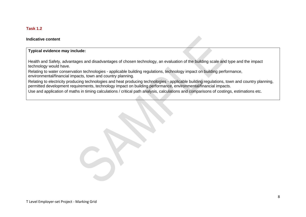# **Task 1.2**

#### **Indicative content**

#### **Typical evidence may include:**

Health and Safety, advantages and disadvantages of chosen technology, an evaluation of the building scale and type and the impact technology would have.

Relating to water conservation technologies - applicable building regulations, technology impact on building performance, environmental/financial impacts, town and country planning.

Relating to electricity producing technologies and heat producing technologies - applicable building regulations, town and country planning, permitted development requirements, technology impact on building performance, environmental/financial impacts.

Use and application of maths in timing calculations / critical path analysis, calculations and comparisons of costings, estimations etc.

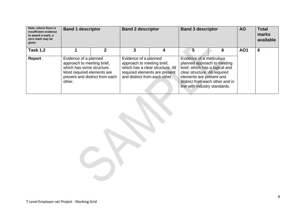| Note: where there is<br>insufficient evidence<br>to award a mark, a<br>zero mark may be<br>given | <b>Band 1 descriptor</b>                                                                                                                                   | <b>Band 2 descriptor</b>                                                                                              |                                  | <b>Band 3 descriptor</b> |                                                                                                                                                                                                                            | <b>AO</b>  | <b>Total</b><br>marks<br>available |
|--------------------------------------------------------------------------------------------------|------------------------------------------------------------------------------------------------------------------------------------------------------------|-----------------------------------------------------------------------------------------------------------------------|----------------------------------|--------------------------|----------------------------------------------------------------------------------------------------------------------------------------------------------------------------------------------------------------------------|------------|------------------------------------|
| <b>Task 1.2</b>                                                                                  |                                                                                                                                                            |                                                                                                                       |                                  | 5                        | 6                                                                                                                                                                                                                          | <b>AO1</b> | 6                                  |
| <b>Report</b>                                                                                    | Evidence of a planned<br>approach to meeting brief,<br>which has some structure.<br>Most required elements are<br>present and distinct from each<br>other. | Evidence of a planned<br>approach to meeting brief,<br>required elements are present<br>and distinct from each other. | which has a clear structure. All |                          | Evidence of a meticulous<br>planned approach to meeting<br>brief, which has a logical and<br>clear structure. All required<br>elements are present and<br>distinct from each other and in<br>line with industry standards. |            |                                    |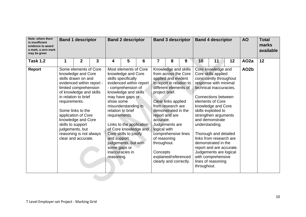| Note: where there<br>is insufficient<br>evidence to award<br>a mark, a zero mark<br>may be given |                                    | <b>Band 1 descriptor</b>                                                                                                                                                                                                                                                                                           |   |                                                                         | <b>Band 2 descriptor</b>                                                                                                                                                                                                                                                                                                              |   | <b>Band 3 descriptor</b>                                                               |                                                                                                                                                                                                                                                                                  |                      |             | <b>Band 4 descriptor</b>                                                                                                                                                                                                                                                                                                                                                                                                                                   |    | <b>AO</b>         | <b>Total</b><br>marks<br>available |
|--------------------------------------------------------------------------------------------------|------------------------------------|--------------------------------------------------------------------------------------------------------------------------------------------------------------------------------------------------------------------------------------------------------------------------------------------------------------------|---|-------------------------------------------------------------------------|---------------------------------------------------------------------------------------------------------------------------------------------------------------------------------------------------------------------------------------------------------------------------------------------------------------------------------------|---|----------------------------------------------------------------------------------------|----------------------------------------------------------------------------------------------------------------------------------------------------------------------------------------------------------------------------------------------------------------------------------|----------------------|-------------|------------------------------------------------------------------------------------------------------------------------------------------------------------------------------------------------------------------------------------------------------------------------------------------------------------------------------------------------------------------------------------------------------------------------------------------------------------|----|-------------------|------------------------------------|
| <b>Task 1.2</b>                                                                                  | 1                                  | $\overline{2}$                                                                                                                                                                                                                                                                                                     | 3 | 4                                                                       | 5                                                                                                                                                                                                                                                                                                                                     | 6 | $\overline{7}$                                                                         | 8                                                                                                                                                                                                                                                                                | 9                    | 10          | 11                                                                                                                                                                                                                                                                                                                                                                                                                                                         | 12 | AO <sub>2a</sub>  | 12                                 |
| <b>Report</b>                                                                                    | requirements.<br>skills to support | Some elements of Core<br>knowledge and Core<br>skills drawn on and<br>evidenced within report -<br>limited comprehension<br>of knowledge and skills<br>in relation to brief<br>Some links to the<br>application of Core<br>knowledge and Core<br>judgements, but<br>reasoning is not always<br>clear and accurate. |   | show some<br>requirements.<br>and support<br>some gaps or<br>reasoning. | Most elements of Core<br>knowledge and Core<br>skills specifically<br>evidenced within report<br>- comprehension of<br>knowledge and skills<br>may have gaps or<br>misunderstanding in<br>relation to brief<br>Links to the application<br>of Core knowledge and<br>Core skills to justify<br>judgements, but with<br>inaccuracies in |   | project brief.<br>accurate.<br>logical with<br>of reasoning<br>throughout.<br>Concepts | Knowledge and skills<br>from across the Core<br>applied and evident<br>in report in relation to<br>different elements of<br>Clear links applied<br>from research are<br>demonstrated in the<br>report and are<br>Judgements are<br>comprehensive lines<br>clearly and correctly. | explained/referenced | throughout. | Core knowledge and<br>Core skills applied<br>consistently throughout<br>response with minimal<br>technical inaccuracies.<br>Connections between<br>elements of Core<br>knowledge and Core<br>skills exploited to<br>strengthen arguments<br>and demonstrate<br>understanding.<br>Thorough and detailed<br>links from research are<br>demonstrated in the<br>report and are accurate.<br>Judgements are logical<br>with comprehensive<br>lines of reasoning |    | AO <sub>2</sub> b |                                    |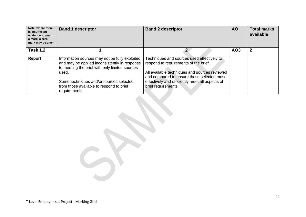| Note: where there<br>is insufficient<br>evidence to award<br>a mark, a zero<br>mark may be given | <b>Band 1 descriptor</b>                                                                                                                                                                                                                                           | <b>Band 2 descriptor</b>                                                                                                                                                                                                                                     | <b>AO</b>       | <b>Total marks</b><br>available |
|--------------------------------------------------------------------------------------------------|--------------------------------------------------------------------------------------------------------------------------------------------------------------------------------------------------------------------------------------------------------------------|--------------------------------------------------------------------------------------------------------------------------------------------------------------------------------------------------------------------------------------------------------------|-----------------|---------------------------------|
| <b>Task 1.2</b>                                                                                  |                                                                                                                                                                                                                                                                    |                                                                                                                                                                                                                                                              | AO <sub>3</sub> | $\mathbf 2$                     |
| Report                                                                                           | Information sources may not be fully exploited<br>and may be applied inconsistently in response<br>to meeting the brief with only limited sources<br>used.<br>Some techniques and/or sources selected<br>from those available to respond to brief<br>requirements. | Techniques and sources used effectively to<br>respond to requirements of the brief.<br>All available techniques and sources reviewed<br>and compared to ensure those selected most<br>effectively and efficiently meet all aspects of<br>brief requirements. |                 |                                 |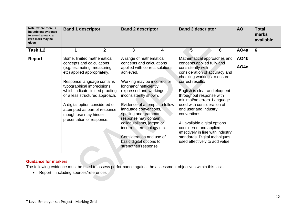| Note: where there is<br>insufficient evidence<br>to award a mark, a<br>zero mark may be<br>given | <b>Band 1 descriptor</b>                                                                                                                                                                                            |                                 | <b>Band 2 descriptor</b>                                                                                                                                                                                                                                                                                                                                         |   | <b>Band 3 descriptor</b>                                                                                                                                                                                                                                                                                                                               | <b>AO</b> | <b>Total</b><br>marks<br>available |   |
|--------------------------------------------------------------------------------------------------|---------------------------------------------------------------------------------------------------------------------------------------------------------------------------------------------------------------------|---------------------------------|------------------------------------------------------------------------------------------------------------------------------------------------------------------------------------------------------------------------------------------------------------------------------------------------------------------------------------------------------------------|---|--------------------------------------------------------------------------------------------------------------------------------------------------------------------------------------------------------------------------------------------------------------------------------------------------------------------------------------------------------|-----------|------------------------------------|---|
| <b>Task 1.2</b>                                                                                  | 1                                                                                                                                                                                                                   | $\overline{2}$                  | 3                                                                                                                                                                                                                                                                                                                                                                | 4 | 5                                                                                                                                                                                                                                                                                                                                                      | 6         | AO <sub>4</sub> a                  | 6 |
| <b>Report</b>                                                                                    | Some, limited mathematical<br>concepts and calculations<br>(e.g. estimating, measuring<br>etc) applied appropriately.                                                                                               |                                 | A range of mathematical<br>concepts and calculations<br>applied with correct solutions<br>achieved.                                                                                                                                                                                                                                                              |   | Mathematical approaches and<br>concepts applied fully and<br>consistently with<br>consideration of accuracy and<br>checking workings to ensure                                                                                                                                                                                                         |           | AO4b<br>AO4c                       |   |
|                                                                                                  | Response language contains<br>typographical imprecisions<br>or a less structured approach.<br>A digital option considered or<br>attempted as part of response<br>though use may hinder<br>presentation of response. | which indicate limited proofing | Working may be incorrect or<br>longhand/inefficiently<br>expressed and workings<br>inconsistently shown.<br>Evidence of attempts to follow<br>language conventions,<br>spelling and grammar -<br>response may contain<br>colloquialisms, jargon or<br>incorrect terminology etc.<br>Consideration and use of<br>basic digital options to<br>strengthen response. |   | correct results.<br>English is clear and eloquent<br>throughout response with<br>minimal/no errors. Language<br>used with consideration of<br>end user and industry<br>conventions.<br>All available digital options<br>considered and applied<br>effectively in line with industry<br>standards. Digital techniques<br>used effectively to add value. |           |                                    |   |

The following evidence must be used to assess performance against the assessment objectives within this task.

• Report – including sources/references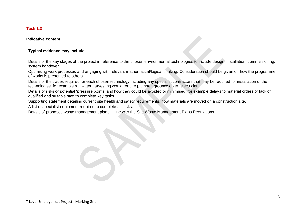# **Task 1.3**

#### **Indicative content**

#### **Typical evidence may include:**

Details of the key stages of the project in reference to the chosen environmental technologies to include design, installation, commissioning, system handover.

Optimising work processes and engaging with relevant mathematical/logical thinking. Consideration should be given on how the programme of works is presented to others.

Details of the trades required for each chosen technology including any specialist contractors that may be required for installation of the technologies, for example rainwater harvesting would require plumber, groundworker, electrician.

Details of risks or potential 'pressure points' and how they could be avoided or minimised, for example delays to material orders or lack of qualified and suitable staff to complete key tasks.

Supporting statement detailing current site health and safety requirements, how materials are moved on a construction site.

A list of specialist equipment required to complete all tasks.

<span id="page-12-0"></span>Details of proposed waste management plans in line with the Site Waste Management Plans Regulations.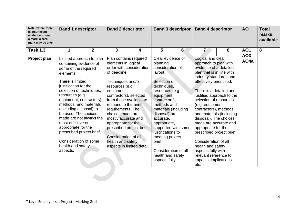| Note: where there<br>is insufficient<br>evidence to award<br>a mark, a zero<br>mark may be given | <b>Band 1 descriptor</b><br>$\mathbf{2}$<br>1                                                                                                                                                                                                                                                                                                                                                       |                                                     | <b>Band 2 descriptor</b>                                                                                                                                                                                                                                                                                                             |                                                                                     |                                                                                                                                                                                                                                                                                                                                                     | <b>Band 3 descriptor</b> | <b>Band 4 descriptor</b>                                                                                                                                                                                                                                                                                                                                                                                                                                                                                                                               |   | <b>AO</b>         | <b>Total</b><br>marks<br>available |
|--------------------------------------------------------------------------------------------------|-----------------------------------------------------------------------------------------------------------------------------------------------------------------------------------------------------------------------------------------------------------------------------------------------------------------------------------------------------------------------------------------------------|-----------------------------------------------------|--------------------------------------------------------------------------------------------------------------------------------------------------------------------------------------------------------------------------------------------------------------------------------------------------------------------------------------|-------------------------------------------------------------------------------------|-----------------------------------------------------------------------------------------------------------------------------------------------------------------------------------------------------------------------------------------------------------------------------------------------------------------------------------------------------|--------------------------|--------------------------------------------------------------------------------------------------------------------------------------------------------------------------------------------------------------------------------------------------------------------------------------------------------------------------------------------------------------------------------------------------------------------------------------------------------------------------------------------------------------------------------------------------------|---|-------------------|------------------------------------|
| <b>Task 1.3</b>                                                                                  |                                                                                                                                                                                                                                                                                                                                                                                                     |                                                     | $\mathbf{3}$                                                                                                                                                                                                                                                                                                                         | 4                                                                                   | 5                                                                                                                                                                                                                                                                                                                                                   | $6 \overline{6}$         | $\overline{L}$                                                                                                                                                                                                                                                                                                                                                                                                                                                                                                                                         | 8 | <b>AO1</b><br>AO3 | 8                                  |
| Project plan                                                                                     | containing evidence of<br>some of the required<br>elements.<br>There is limited<br>justification for the<br>selection of techniques,<br>resources (e.g.<br>equipment, contractors),<br>methods, and materials<br>(including disposal) to<br>be used. The choices<br>most effective or<br>appropriate for the<br>prescribed project brief.<br>Consideration of some<br>health and safety<br>aspects. | Limited approach to plan<br>made are not always the | Plan contains required<br>elements in logical<br>of deadline.<br>Techniques and/or<br>resources (e.g.<br>equipment,<br>contractors), selected<br>from those available to<br>respond to the brief<br>requirements. The<br>choices made are<br>mostly accurate and<br>appropriate for the<br>Consideration of all<br>health and safety | order with consideration<br>prescribed project brief.<br>aspects in limited detail. | Clear evidence of<br>planning<br>consideration of<br>layout.<br>Selection of<br>techniques,<br>resources (e.g.<br>equipment,<br>contractors),<br>methods and<br>materials (including<br>disposal) are<br>accurate,<br>appropriate,<br>justifications to<br>meeting project<br>brief.<br>Consideration of all<br>health and safety<br>aspects fully. | supported with some      | Logical and clear<br>approach to plan with<br>evidence of a detailed<br>plan that is in line with<br>industry standards and<br>effectively prioritised.<br>There is a detailed and<br>justified approach to the<br>selection of resources<br>(e.g. equipment,<br>contractors), methods<br>and materials (including<br>disposal). The choices<br>made are accurate and<br>appropriate for the<br>prescribed project brief.<br>Consideration of all<br>health and safety<br>aspects fully with<br>relevant reference to<br>impacts, implications<br>etc. |   | AO <sub>4a</sub>  |                                    |
|                                                                                                  |                                                                                                                                                                                                                                                                                                                                                                                                     |                                                     |                                                                                                                                                                                                                                                                                                                                      |                                                                                     |                                                                                                                                                                                                                                                                                                                                                     |                          |                                                                                                                                                                                                                                                                                                                                                                                                                                                                                                                                                        |   |                   |                                    |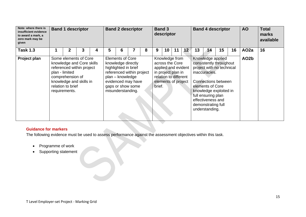| Note: where there is<br>insufficient evidence<br>to award a mark, a<br>zero mark may be<br>given | <b>Band 1 descriptor</b>                                                                                                                                                               |   |   |   | <b>Band 2 descriptor</b>                                                                                       |                                                                      |   |        | <b>Band 3</b><br><b>Band 4 descriptor</b><br>descriptor |                                                                                                                                |                 |    | <b>AO</b>                                                                                                                                                                                                                                          | <b>Total</b><br>marks<br>available |    |                   |    |
|--------------------------------------------------------------------------------------------------|----------------------------------------------------------------------------------------------------------------------------------------------------------------------------------------|---|---|---|----------------------------------------------------------------------------------------------------------------|----------------------------------------------------------------------|---|--------|---------------------------------------------------------|--------------------------------------------------------------------------------------------------------------------------------|-----------------|----|----------------------------------------------------------------------------------------------------------------------------------------------------------------------------------------------------------------------------------------------------|------------------------------------|----|-------------------|----|
| <b>Task 1.3</b>                                                                                  | 2                                                                                                                                                                                      | 3 | 4 | 5 | 6                                                                                                              |                                                                      | 8 | 9      | 10                                                      | 11                                                                                                                             | 12 <sub>2</sub> | 13 | 14                                                                                                                                                                                                                                                 | 15                                 | 16 | AO <sub>2a</sub>  | 16 |
| Project plan                                                                                     | Some elements of Core<br>knowledge and Core skills<br>referenced within project<br>plan - limited<br>comprehension of<br>knowledge and skills in<br>relation to brief<br>requirements. |   |   |   | <b>Elements of Core</b><br>knowledge directly<br>highlighted in brief<br>plan - knowledge<br>misunderstanding. | referenced within project<br>evidenced may have<br>gaps or show some |   | brief. |                                                         | Knowledge from<br>across the Core<br>applied and evident<br>in project plan in<br>relation to different<br>elements of project |                 |    | Knowledge applied<br>consistently throughout<br>project with no technical<br>inaccuracies.<br>Connections between<br>elements of Core<br>knowledge exploited in<br>full ensuring plan<br>effectiveness and<br>demonstrating full<br>understanding. |                                    |    | AO <sub>2</sub> b |    |

The following evidence must be used to assess performance against the assessment objectives within this task.

- Programme of work
- Supporting statement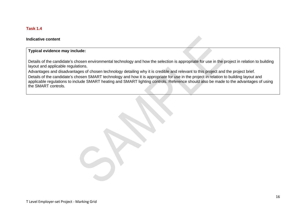# **Task 1.4**

#### **Indicative content**

#### **Typical evidence may include:**

Details of the candidate's chosen environmental technology and how the selection is appropriate for use in the project in relation to building layout and applicable regulations.

<span id="page-15-0"></span>Advantages and disadvantages of chosen technology detailing why it is credible and relevant to this project and the project brief. Details of the candidate's chosen SMART technology and how it is appropriate for use in the project in relation to building layout and applicable regulations to include SMART heating and SMART lighting controls. Reference should also be made to the advantages of using the SMART controls.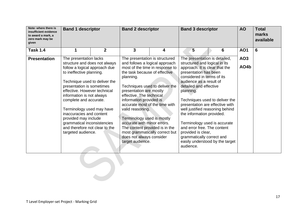| Note: where there is<br>insufficient evidence<br>to award a mark, a<br>zero mark may be<br>given | <b>Band 1 descriptor</b>                                                                                                                                                                                                                                                                                                                                                                                                                          |                | <b>Band 2 descriptor</b>                                                                                                                                                                                                                                                                                                                                                                                                                                                                                     | <b>AO</b> | <b>Total</b><br>marks<br>available                                                                                                                                                                                                                                                                                                                                                                                                                          |                                                                   |                         |   |
|--------------------------------------------------------------------------------------------------|---------------------------------------------------------------------------------------------------------------------------------------------------------------------------------------------------------------------------------------------------------------------------------------------------------------------------------------------------------------------------------------------------------------------------------------------------|----------------|--------------------------------------------------------------------------------------------------------------------------------------------------------------------------------------------------------------------------------------------------------------------------------------------------------------------------------------------------------------------------------------------------------------------------------------------------------------------------------------------------------------|-----------|-------------------------------------------------------------------------------------------------------------------------------------------------------------------------------------------------------------------------------------------------------------------------------------------------------------------------------------------------------------------------------------------------------------------------------------------------------------|-------------------------------------------------------------------|-------------------------|---|
| <b>Task 1.4</b>                                                                                  | 1                                                                                                                                                                                                                                                                                                                                                                                                                                                 | $\overline{2}$ | $\mathbf{3}$                                                                                                                                                                                                                                                                                                                                                                                                                                                                                                 | 4         | 5                                                                                                                                                                                                                                                                                                                                                                                                                                                           | 6                                                                 | <b>AO1</b>              | 6 |
| <b>Presentation</b>                                                                              | The presentation lacks<br>structure and does not always<br>follow a logical approach due<br>to ineffective planning.<br>Technique used to deliver the<br>presentation is sometimes<br>effective. However technical<br>information is not always<br>complete and accurate.<br>Terminology used may have<br>inaccuracies and content<br>provided may include<br>grammatical inconsistencies<br>and therefore not clear to the<br>targeted audience. |                | The presentation is structured<br>and follows a logical approach<br>most of the time in response to<br>the task because of effective<br>planning.<br>Techniques used to deliver the<br>presentation are mostly<br>effective. The technical<br>information provided is<br>accurate most of the time with<br>valid reasoning.<br>Terminology used is mostly<br>accurate with minor errors.<br>The content provided is in the<br>most grammatically correct but<br>does not always consider<br>target audience. |           | The presentation is detailed,<br>structured and logical in its<br>approach. It is clear that the<br>presentation has been<br>considered in terms of its<br>audience as a result of<br>detailed and effective<br>planning.<br>presentation are effective with<br>well justified reasoning behind<br>the information provided.<br>Terminology used is accurate<br>and error free. The content<br>provided is clear,<br>grammatically correct and<br>audience. | Techniques used to deliver the<br>easily understood by the target | AO <sub>3</sub><br>AO4b |   |
|                                                                                                  |                                                                                                                                                                                                                                                                                                                                                                                                                                                   |                |                                                                                                                                                                                                                                                                                                                                                                                                                                                                                                              |           |                                                                                                                                                                                                                                                                                                                                                                                                                                                             |                                                                   |                         |   |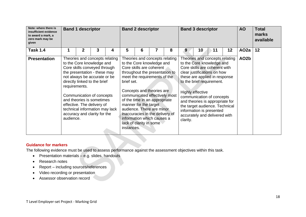| Note: where there is<br>insufficient evidence<br>to award a mark, a<br>zero mark may be<br>given | <b>Band 1 descriptor</b><br>2<br>3<br>1<br>4 |  |                                                                                                                                                                                                                                                                                                                                                       |  | <b>Band 2 descriptor</b><br>7<br>6 |                                                                                                                                                                                                                                                                                                                                                                                                            |  |   |          | <b>Band 3 descriptor</b>                                                                                                                                                                                                                                                                                                                                                     |    | <b>AO</b> | <b>Total</b><br>marks<br>available |    |
|--------------------------------------------------------------------------------------------------|----------------------------------------------|--|-------------------------------------------------------------------------------------------------------------------------------------------------------------------------------------------------------------------------------------------------------------------------------------------------------------------------------------------------------|--|------------------------------------|------------------------------------------------------------------------------------------------------------------------------------------------------------------------------------------------------------------------------------------------------------------------------------------------------------------------------------------------------------------------------------------------------------|--|---|----------|------------------------------------------------------------------------------------------------------------------------------------------------------------------------------------------------------------------------------------------------------------------------------------------------------------------------------------------------------------------------------|----|-----------|------------------------------------|----|
| <b>Task 1.4</b>                                                                                  |                                              |  |                                                                                                                                                                                                                                                                                                                                                       |  | 5                                  |                                                                                                                                                                                                                                                                                                                                                                                                            |  | 8 | 9        | 10                                                                                                                                                                                                                                                                                                                                                                           | 11 | 12        | AO <sub>2a</sub>                   | 12 |
| <b>Presentation</b>                                                                              | requirements.<br>audience.                   |  | Theories and concepts relating<br>to the Core knowledge and<br>Core skills conveyed through<br>the presentation - these may<br>not always be accurate or be<br>directly linked to the brief<br>Communication of concepts<br>and theories is sometimes<br>effective. The delivery of<br>technical information may lack<br>accuracy and clarity for the |  | brief set.<br>instances.           | Theories and concepts relating<br>to the Core knowledge and<br>Core skills are coherent<br>throughout the presentation to<br>meet the requirements of the<br>Concepts and theories are<br>communicated effectively most<br>of the time in an appropriate<br>manner for the target<br>audience. There are minor<br>inaccuracies in the delivery of<br>information which causes a<br>lack of clarity in some |  |   | clarity. | Theories and concepts relating<br>to the Core knowledge and<br>Core skills are coherent with<br>clear justifications on how<br>these are applied in response<br>to the brief requirement.<br>Highly effective<br>communication of concepts<br>and theories is appropriate for<br>the target audience. Technical<br>information is presented<br>accurately and delivered with |    |           | AO <sub>2</sub> b                  |    |

The following evidence must be used to assess performance against the assessment objectives within this task.

- Presentation materials e.g. slides, handouts
- Research notes
- Report including sources/references
- Video recording or presentation
- Assessor observation record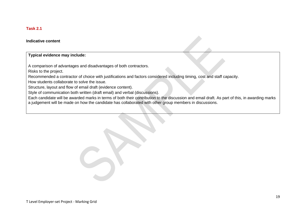# **Task 2.1**

#### **Indicative content**

# **Typical evidence may include:**

A comparison of advantages and disadvantages of both contractors.

Risks to the project.

Recommended a contractor of choice with justifications and factors considered including timing, cost and staff capacity.

How students collaborate to solve the issue.

Structure, layout and flow of email draft (evidence content).

Style of communication both written (draft email) and verbal (discussions).

<span id="page-18-0"></span>Each candidate will be awarded marks in terms of both their contribution to the discussion and email draft. As part of this, in awarding marks a judgement will be made on how the candidate has collaborated with other group members in discussions.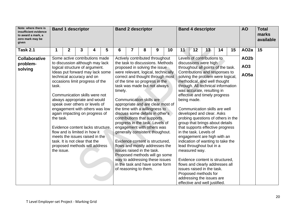| Note: where there is<br>insufficient evidence<br>to award a mark, a<br>zero mark may be<br>given | <b>Band 1 descriptor</b>                                     |                                 |   |   |                                                               | <b>Band 2 descriptor</b>                                           |   |   |                                                                       | <b>Band 4 descriptor</b>                                          |                                    |      |                                 | <b>AO</b>         | <b>Total</b><br>marks<br>available |                  |    |
|--------------------------------------------------------------------------------------------------|--------------------------------------------------------------|---------------------------------|---|---|---------------------------------------------------------------|--------------------------------------------------------------------|---|---|-----------------------------------------------------------------------|-------------------------------------------------------------------|------------------------------------|------|---------------------------------|-------------------|------------------------------------|------------------|----|
| <b>Task 2.1</b>                                                                                  | 1                                                            | $\mathbf 2$                     | 3 | 4 | 5                                                             | 6                                                                  | 7 | 8 | 9                                                                     | 10                                                                | 11                                 | $12$ | 13                              | 14                | 15                                 | AO <sub>2a</sub> | 15 |
| <b>Collaborative</b>                                                                             | Some active contributions made                               |                                 |   |   |                                                               | Actively contributed throughout                                    |   |   |                                                                       | Levels of contributions to                                        |                                    |      |                                 | AO <sub>2</sub> b |                                    |                  |    |
| problem-                                                                                         |                                                              | to discussion although may lack |   |   | the task to discussions. Methods                              |                                                                    |   |   | discussions were high                                                 |                                                                   |                                    |      |                                 |                   |                                    |                  |    |
| solving                                                                                          | logical structure of argument.                               |                                 |   |   |                                                               | proposed in solving the issue                                      |   |   |                                                                       | throughout all points of the task.                                |                                    |      |                                 | AO <sub>3</sub>   |                                    |                  |    |
|                                                                                                  | Ideas put forward may lack some                              |                                 |   |   |                                                               | were relevant, logical, technically                                |   |   |                                                                       | Contributions and responses to                                    |                                    |      |                                 | AO <sub>5a</sub>  |                                    |                  |    |
|                                                                                                  | technical accuracy and on<br>occasions limit progress of the |                                 |   |   |                                                               | correct and thought through most<br>of the time so progress in the |   |   |                                                                       | solving the problem were logical,<br>methodical, and well thought |                                    |      |                                 |                   |                                    |                  |    |
|                                                                                                  | task.                                                        |                                 |   |   |                                                               | task was made but not always                                       |   |   |                                                                       |                                                                   | through. All technical information |      |                                 |                   |                                    |                  |    |
|                                                                                                  |                                                              |                                 |   |   |                                                               | timely.                                                            |   |   |                                                                       |                                                                   | was accurate, resulting in         |      |                                 |                   |                                    |                  |    |
|                                                                                                  | Communication skills were not                                |                                 |   |   |                                                               |                                                                    |   |   |                                                                       | effective and timely progress                                     |                                    |      |                                 |                   |                                    |                  |    |
|                                                                                                  | always appropriate and would                                 |                                 |   |   |                                                               | <b>Communication skills are</b>                                    |   |   |                                                                       |                                                                   | being made.                        |      |                                 |                   |                                    |                  |    |
|                                                                                                  | speak over others or levels of                               |                                 |   |   |                                                               | appropriate and are clear most of                                  |   |   |                                                                       |                                                                   |                                    |      |                                 |                   |                                    |                  |    |
|                                                                                                  | engagement with others was low                               |                                 |   |   |                                                               | the time with a willingness to                                     |   |   |                                                                       | Communication skills are well                                     |                                    |      |                                 |                   |                                    |                  |    |
|                                                                                                  | again impacting on progress of                               |                                 |   |   | discuss some details in other's                               |                                                                    |   |   | developed and clear. Asks                                             |                                                                   |                                    |      |                                 |                   |                                    |                  |    |
|                                                                                                  | the task.                                                    |                                 |   |   | contributions that supports                                   |                                                                    |   |   | probing questions of others in the<br>group that brings about details |                                                                   |                                    |      |                                 |                   |                                    |                  |    |
|                                                                                                  | Evidence content lacks structure,                            |                                 |   |   | progress in the task. Levels of<br>engagement with others was |                                                                    |   |   | that supports effective progress                                      |                                                                   |                                    |      |                                 |                   |                                    |                  |    |
|                                                                                                  | flow and is limited in how it                                |                                 |   |   | generally consistent thoughout.                               |                                                                    |   |   | in the task. Levels of                                                |                                                                   |                                    |      |                                 |                   |                                    |                  |    |
|                                                                                                  | meets the issues raised in the                               |                                 |   |   |                                                               |                                                                    |   |   | engagement are high with an                                           |                                                                   |                                    |      |                                 |                   |                                    |                  |    |
|                                                                                                  | task. It is not clear that the                               |                                 |   |   | Evidence content is structured,                               |                                                                    |   |   | indication of wanting to take the                                     |                                                                   |                                    |      |                                 |                   |                                    |                  |    |
|                                                                                                  | proposed methods will address                                |                                 |   |   | flows and mostly addresses the                                |                                                                    |   |   | lead throughout but in a                                              |                                                                   |                                    |      |                                 |                   |                                    |                  |    |
|                                                                                                  | the issue.                                                   |                                 |   |   | issues raised in the task.                                    |                                                                    |   |   | measured way.                                                         |                                                                   |                                    |      |                                 |                   |                                    |                  |    |
|                                                                                                  |                                                              |                                 |   |   | Proposed methods will go some                                 |                                                                    |   |   |                                                                       |                                                                   |                                    |      |                                 |                   |                                    |                  |    |
|                                                                                                  |                                                              |                                 |   |   |                                                               |                                                                    |   |   | way to addressing these issues                                        |                                                                   |                                    |      | Evidence content is structured, |                   |                                    |                  |    |
|                                                                                                  |                                                              |                                 |   |   | in the task and have some form                                |                                                                    |   |   | flows and clearly addresses all                                       |                                                                   |                                    |      |                                 |                   |                                    |                  |    |
|                                                                                                  |                                                              |                                 |   |   | of reasoning to them.                                         |                                                                    |   |   | issues raised in the task.                                            |                                                                   |                                    |      |                                 |                   |                                    |                  |    |
|                                                                                                  |                                                              |                                 |   |   |                                                               |                                                                    |   |   | Proposed methods for<br>addressing the issues are                     |                                                                   |                                    |      |                                 |                   |                                    |                  |    |
|                                                                                                  |                                                              |                                 |   |   |                                                               |                                                                    |   |   |                                                                       | effective and well justified.                                     |                                    |      |                                 |                   |                                    |                  |    |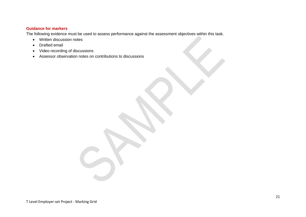The following evidence must be used to assess performance against the assessment objectives within this task.

- Written discussion notes
- Drafted email
- Video recording of discussions
- <span id="page-20-0"></span>• Assessor observation notes on contributions to discussions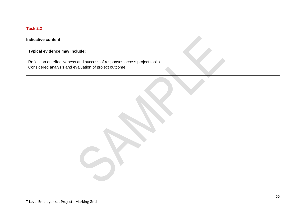# **Task 2.2**

# **Indicative content**

# **Typical evidence may include:**

Reflection on effectiveness and success of responses across project tasks. Considered analysis and evaluation of project outcome.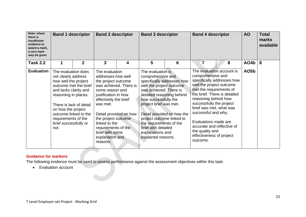| Note: where<br>there is<br>insufficient<br>evidence to<br>award a mark,<br>a zero mark<br>may be given | <b>Band 1 descriptor</b>                                                                                                                                                                                                                                                       |              | <b>Band 2 descriptor</b>                                                                                                                                                                                                                                                                                         |   | <b>Band 3 descriptor</b>                                                                                                                                                                                                                                                                             |                                                          | <b>Band 4 descriptor</b>                                                                                                                                                                                                                                          |                                                                                                                       | <b>AO</b>         | <b>Total</b><br>marks<br>available |
|--------------------------------------------------------------------------------------------------------|--------------------------------------------------------------------------------------------------------------------------------------------------------------------------------------------------------------------------------------------------------------------------------|--------------|------------------------------------------------------------------------------------------------------------------------------------------------------------------------------------------------------------------------------------------------------------------------------------------------------------------|---|------------------------------------------------------------------------------------------------------------------------------------------------------------------------------------------------------------------------------------------------------------------------------------------------------|----------------------------------------------------------|-------------------------------------------------------------------------------------------------------------------------------------------------------------------------------------------------------------------------------------------------------------------|-----------------------------------------------------------------------------------------------------------------------|-------------------|------------------------------------|
| <b>Task 2.2</b>                                                                                        | 1                                                                                                                                                                                                                                                                              | $\mathbf{2}$ | 3                                                                                                                                                                                                                                                                                                                | 4 | 5                                                                                                                                                                                                                                                                                                    | 6                                                        | 7                                                                                                                                                                                                                                                                 | 8                                                                                                                     | AO4b              | 8                                  |
| <b>Evaluation</b>                                                                                      | The evaluation does<br>not clearly address<br>how well the project<br>outcome met the brief<br>and lacks clarity and<br>reasoning in places.<br>There is lack of detail<br>on how the project<br>outcome linked to the<br>requirements of the<br>brief successfully or<br>not. |              | The evaluation<br>addresses how well<br>the project outcome<br>was achieved. There is<br>some reason and<br>justification in how<br>effectively the brief<br>was met.<br>Detail provided on how<br>the project outcome<br>linked to the<br>requirements of the<br>brief with some<br>explanation and<br>reasons. |   | The evaluation is<br>comprehensive and<br>well the project outcome<br>was achieved. There is<br>detailed reasoning behind<br>how successfully the<br>project brief was met.<br>project outcome linked to<br>the requirements of the<br>brief with detailed<br>explanations and<br>explained reasons. | specifically addresses how<br>Detail provided on how the | comprehensive and<br>well the project outcome<br>met the requirements of<br>reasoning behind how<br>successfully the project<br>brief was met, what was<br>successful and why.<br>Evaluations made are<br>the quality and<br>effectiveness of project<br>outcome. | The evaluation account is<br>specifically addresses how<br>the brief. There is detailed<br>accurate and reflective of | AO <sub>5</sub> b |                                    |

The following evidence must be used to assess performance against the assessment objectives within this task.

• Evaluation account